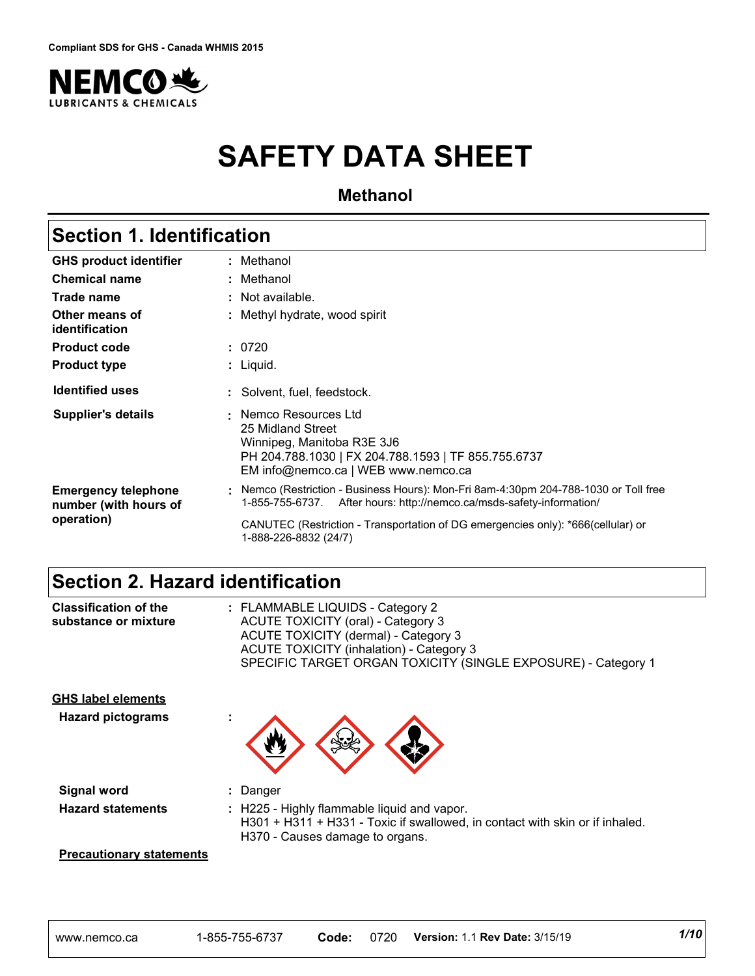

# **SAFETY DATA SHEET**

**Methanol**

### **Section 1. Identification**

| <b>GHS product identifier</b>                                     | : Methanol                                                                                                                                                                                                                                                               |  |
|-------------------------------------------------------------------|--------------------------------------------------------------------------------------------------------------------------------------------------------------------------------------------------------------------------------------------------------------------------|--|
| <b>Chemical name</b>                                              | : Methanol                                                                                                                                                                                                                                                               |  |
| Trade name                                                        | : Not available.                                                                                                                                                                                                                                                         |  |
| Other means of<br>identification                                  | : Methyl hydrate, wood spirit                                                                                                                                                                                                                                            |  |
| <b>Product code</b>                                               | : 0720                                                                                                                                                                                                                                                                   |  |
| <b>Product type</b>                                               | : Liquid.                                                                                                                                                                                                                                                                |  |
| <b>Identified uses</b>                                            | : Solvent, fuel, feedstock.                                                                                                                                                                                                                                              |  |
| Supplier's details                                                | : Nemco Resources Ltd<br>25 Midland Street<br>Winnipeg, Manitoba R3E 3J6<br>PH 204.788.1030   FX 204.788.1593   TF 855.755.6737<br>EM info@nemco.ca   WEB www.nemco.ca                                                                                                   |  |
| <b>Emergency telephone</b><br>number (with hours of<br>operation) | Nemco (Restriction - Business Hours): Mon-Fri 8am-4:30pm 204-788-1030 or Toll free<br>1-855-755-6737. After hours: http://nemco.ca/msds-safety-information/<br>CANUTEC (Restriction - Transportation of DG emergencies only): *666(cellular) or<br>1-888-226-8832 (24/7) |  |

### **Section 2. Hazard identification**

| <b>Classification of the</b><br>substance or mixture  | : FLAMMABLE LIQUIDS - Category 2<br><b>ACUTE TOXICITY (oral) - Category 3</b><br>ACUTE TOXICITY (dermal) - Category 3<br><b>ACUTE TOXICITY (inhalation) - Category 3</b><br>SPECIFIC TARGET ORGAN TOXICITY (SINGLE EXPOSURE) - Category 1 |
|-------------------------------------------------------|-------------------------------------------------------------------------------------------------------------------------------------------------------------------------------------------------------------------------------------------|
| <b>GHS label elements</b><br><b>Hazard pictograms</b> |                                                                                                                                                                                                                                           |
| Signal word                                           | : Danger                                                                                                                                                                                                                                  |
| <b>Hazard statements</b>                              | : H225 - Highly flammable liquid and vapor.<br>H301 + H311 + H331 - Toxic if swallowed, in contact with skin or if inhaled.<br>H370 - Causes damage to organs.                                                                            |
|                                                       |                                                                                                                                                                                                                                           |

#### **Precautionary statements**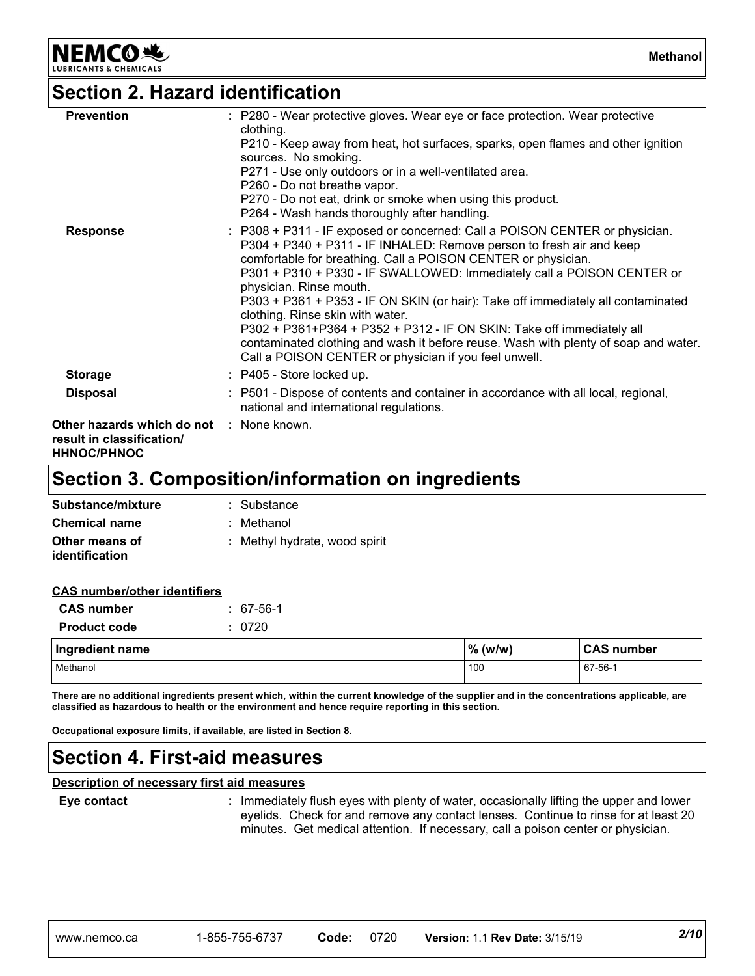### **Section 2. Hazard identification**

**NEMCO头** 

| <b>Prevention</b>                                                                                  | : P280 - Wear protective gloves. Wear eye or face protection. Wear protective<br>clothing.<br>P210 - Keep away from heat, hot surfaces, sparks, open flames and other ignition<br>sources. No smoking.<br>P271 - Use only outdoors or in a well-ventilated area.<br>P260 - Do not breathe vapor.<br>P270 - Do not eat, drink or smoke when using this product.<br>P264 - Wash hands thoroughly after handling.                                                                                                                                                                                                                                                             |
|----------------------------------------------------------------------------------------------------|----------------------------------------------------------------------------------------------------------------------------------------------------------------------------------------------------------------------------------------------------------------------------------------------------------------------------------------------------------------------------------------------------------------------------------------------------------------------------------------------------------------------------------------------------------------------------------------------------------------------------------------------------------------------------|
| <b>Response</b>                                                                                    | : P308 + P311 - IF exposed or concerned: Call a POISON CENTER or physician.<br>P304 + P340 + P311 - IF INHALED: Remove person to fresh air and keep<br>comfortable for breathing. Call a POISON CENTER or physician.<br>P301 + P310 + P330 - IF SWALLOWED: Immediately call a POISON CENTER or<br>physician. Rinse mouth.<br>P303 + P361 + P353 - IF ON SKIN (or hair): Take off immediately all contaminated<br>clothing. Rinse skin with water.<br>P302 + P361+P364 + P352 + P312 - IF ON SKIN: Take off immediately all<br>contaminated clothing and wash it before reuse. Wash with plenty of soap and water.<br>Call a POISON CENTER or physician if you feel unwell. |
| <b>Storage</b>                                                                                     | : P405 - Store locked up.                                                                                                                                                                                                                                                                                                                                                                                                                                                                                                                                                                                                                                                  |
| <b>Disposal</b>                                                                                    | : P501 - Dispose of contents and container in accordance with all local, regional,<br>national and international regulations.                                                                                                                                                                                                                                                                                                                                                                                                                                                                                                                                              |
| <b>Other hazards which do not : None known.</b><br>result in classification/<br><b>HHNOC/PHNOC</b> |                                                                                                                                                                                                                                                                                                                                                                                                                                                                                                                                                                                                                                                                            |

### **Section 3. Composition/information on ingredients**

| Substance/mixture                       | : Substance                   |
|-----------------------------------------|-------------------------------|
| <b>Chemical name</b>                    | : Methanol                    |
| Other means of<br><i>identification</i> | : Methyl hydrate, wood spirit |

#### **CAS number/other identifiers**

| <b>CAS number</b>   | $: 67-56-1$ |
|---------------------|-------------|
| <b>Product code</b> | : 0720      |

| Ingredient name | %<br>(w/w) | <b>CAS number</b> |
|-----------------|------------|-------------------|
| Methanol        | 100        | 67-56-1           |

**There are no additional ingredients present which, within the current knowledge of the supplier and in the concentrations applicable, are classified as hazardous to health or the environment and hence require reporting in this section.**

**Occupational exposure limits, if available, are listed in Section 8.**

### **Section 4. First-aid measures**

#### **Description of necessary first aid measures**

**Eye contact Example 20 COND EXECT 20 CONDUCT 20 CONDUCT EXECT** is immediately flush eyes with plenty of water, occasionally lifting the upper and lower eyelids. Check for and remove any contact lenses. Continue to rinse for at least 20 minutes. Get medical attention. If necessary, call a poison center or physician.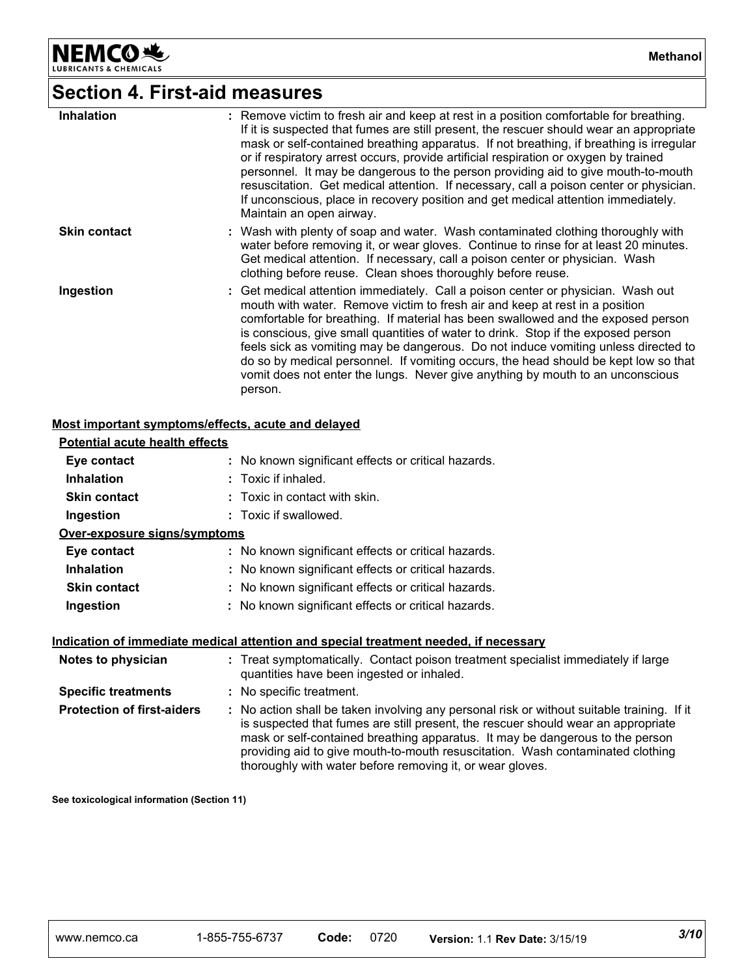NEMCO<sup>N</sup>

**Methanol**

## **Section 4. First-aid measures**

| <b>Inhalation</b>   | : Remove victim to fresh air and keep at rest in a position comfortable for breathing.<br>If it is suspected that fumes are still present, the rescuer should wear an appropriate<br>mask or self-contained breathing apparatus. If not breathing, if breathing is irregular<br>or if respiratory arrest occurs, provide artificial respiration or oxygen by trained<br>personnel. It may be dangerous to the person providing aid to give mouth-to-mouth<br>resuscitation. Get medical attention. If necessary, call a poison center or physician.<br>If unconscious, place in recovery position and get medical attention immediately.<br>Maintain an open airway. |
|---------------------|----------------------------------------------------------------------------------------------------------------------------------------------------------------------------------------------------------------------------------------------------------------------------------------------------------------------------------------------------------------------------------------------------------------------------------------------------------------------------------------------------------------------------------------------------------------------------------------------------------------------------------------------------------------------|
| <b>Skin contact</b> | : Wash with plenty of soap and water. Wash contaminated clothing thoroughly with<br>water before removing it, or wear gloves. Continue to rinse for at least 20 minutes.<br>Get medical attention. If necessary, call a poison center or physician. Wash<br>clothing before reuse. Clean shoes thoroughly before reuse.                                                                                                                                                                                                                                                                                                                                              |
| Ingestion           | : Get medical attention immediately. Call a poison center or physician. Wash out<br>mouth with water. Remove victim to fresh air and keep at rest in a position<br>comfortable for breathing. If material has been swallowed and the exposed person<br>is conscious, give small quantities of water to drink. Stop if the exposed person<br>feels sick as vomiting may be dangerous. Do not induce vomiting unless directed to<br>do so by medical personnel. If vomiting occurs, the head should be kept low so that<br>vomit does not enter the lungs. Never give anything by mouth to an unconscious<br>person.                                                   |

#### **Most important symptoms/effects, acute and delayed**

| Potential acute health effects    |                                                                                                                                                                                                                                                                                                                                                                                                                 |
|-----------------------------------|-----------------------------------------------------------------------------------------------------------------------------------------------------------------------------------------------------------------------------------------------------------------------------------------------------------------------------------------------------------------------------------------------------------------|
| Eye contact                       | : No known significant effects or critical hazards.                                                                                                                                                                                                                                                                                                                                                             |
| <b>Inhalation</b>                 | : Toxic if inhaled.                                                                                                                                                                                                                                                                                                                                                                                             |
| <b>Skin contact</b>               | $\therefore$ Toxic in contact with skin.                                                                                                                                                                                                                                                                                                                                                                        |
| Ingestion                         | : Toxic if swallowed.                                                                                                                                                                                                                                                                                                                                                                                           |
| Over-exposure signs/symptoms      |                                                                                                                                                                                                                                                                                                                                                                                                                 |
| Eye contact                       | : No known significant effects or critical hazards.                                                                                                                                                                                                                                                                                                                                                             |
| <b>Inhalation</b>                 | : No known significant effects or critical hazards.                                                                                                                                                                                                                                                                                                                                                             |
| <b>Skin contact</b>               | : No known significant effects or critical hazards.                                                                                                                                                                                                                                                                                                                                                             |
| Ingestion                         | : No known significant effects or critical hazards.                                                                                                                                                                                                                                                                                                                                                             |
|                                   | Indication of immediate medical attention and special treatment needed, if necessary                                                                                                                                                                                                                                                                                                                            |
| Notes to physician                | : Treat symptomatically. Contact poison treatment specialist immediately if large<br>quantities have been ingested or inhaled.                                                                                                                                                                                                                                                                                  |
| <b>Specific treatments</b>        | : No specific treatment.                                                                                                                                                                                                                                                                                                                                                                                        |
| <b>Protection of first-aiders</b> | : No action shall be taken involving any personal risk or without suitable training. If it<br>is suspected that fumes are still present, the rescuer should wear an appropriate<br>mask or self-contained breathing apparatus. It may be dangerous to the person<br>providing aid to give mouth-to-mouth resuscitation. Wash contaminated clothing<br>thoroughly with water before removing it, or wear gloves. |

**See toxicological information (Section 11)**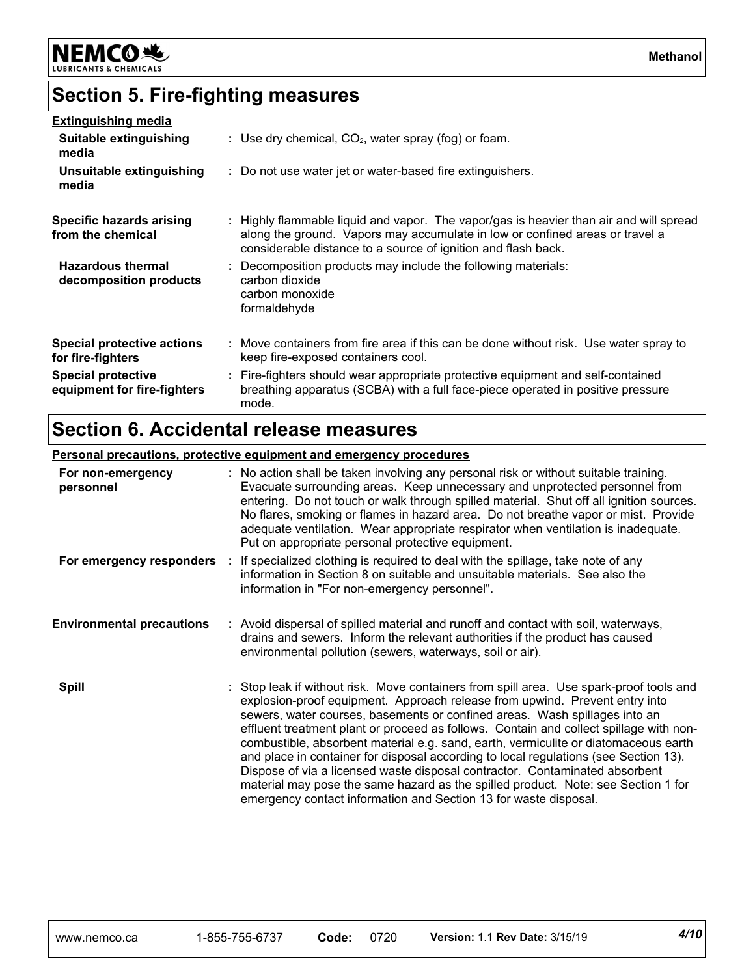

### **Section 5. Fire-fighting measures**

| <u>Extinguishing media</u>                               |                                                                                                                                                                                                                                         |
|----------------------------------------------------------|-----------------------------------------------------------------------------------------------------------------------------------------------------------------------------------------------------------------------------------------|
| Suitable extinguishing<br>media                          | : Use dry chemical, $CO2$ , water spray (fog) or foam.                                                                                                                                                                                  |
| Unsuitable extinguishing<br>media                        | : Do not use water jet or water-based fire extinguishers.                                                                                                                                                                               |
| Specific hazards arising<br>from the chemical            | : Highly flammable liquid and vapor. The vapor/gas is heavier than air and will spread<br>along the ground. Vapors may accumulate in low or confined areas or travel a<br>considerable distance to a source of ignition and flash back. |
| <b>Hazardous thermal</b><br>decomposition products       | : Decomposition products may include the following materials:<br>carbon dioxide<br>carbon monoxide<br>formaldehyde                                                                                                                      |
| Special protective actions<br>for fire-fighters          | : Move containers from fire area if this can be done without risk. Use water spray to<br>keep fire-exposed containers cool.                                                                                                             |
| <b>Special protective</b><br>equipment for fire-fighters | : Fire-fighters should wear appropriate protective equipment and self-contained<br>breathing apparatus (SCBA) with a full face-piece operated in positive pressure<br>mode.                                                             |

### **Section 6. Accidental release measures**

#### **Personal precautions, protective equipment and emergency procedures**

| For non-emergency<br>personnel   | : No action shall be taken involving any personal risk or without suitable training.<br>Evacuate surrounding areas. Keep unnecessary and unprotected personnel from<br>entering. Do not touch or walk through spilled material. Shut off all ignition sources.<br>No flares, smoking or flames in hazard area. Do not breathe vapor or mist. Provide<br>adequate ventilation. Wear appropriate respirator when ventilation is inadequate.<br>Put on appropriate personal protective equipment.                                                                                                                                                                                                                                                                        |
|----------------------------------|-----------------------------------------------------------------------------------------------------------------------------------------------------------------------------------------------------------------------------------------------------------------------------------------------------------------------------------------------------------------------------------------------------------------------------------------------------------------------------------------------------------------------------------------------------------------------------------------------------------------------------------------------------------------------------------------------------------------------------------------------------------------------|
| For emergency responders         | If specialized clothing is required to deal with the spillage, take note of any<br>information in Section 8 on suitable and unsuitable materials. See also the<br>information in "For non-emergency personnel".                                                                                                                                                                                                                                                                                                                                                                                                                                                                                                                                                       |
| <b>Environmental precautions</b> | : Avoid dispersal of spilled material and runoff and contact with soil, waterways,<br>drains and sewers. Inform the relevant authorities if the product has caused<br>environmental pollution (sewers, waterways, soil or air).                                                                                                                                                                                                                                                                                                                                                                                                                                                                                                                                       |
| <b>Spill</b>                     | : Stop leak if without risk. Move containers from spill area. Use spark-proof tools and<br>explosion-proof equipment. Approach release from upwind. Prevent entry into<br>sewers, water courses, basements or confined areas. Wash spillages into an<br>effluent treatment plant or proceed as follows. Contain and collect spillage with non-<br>combustible, absorbent material e.g. sand, earth, vermiculite or diatomaceous earth<br>and place in container for disposal according to local regulations (see Section 13).<br>Dispose of via a licensed waste disposal contractor. Contaminated absorbent<br>material may pose the same hazard as the spilled product. Note: see Section 1 for<br>emergency contact information and Section 13 for waste disposal. |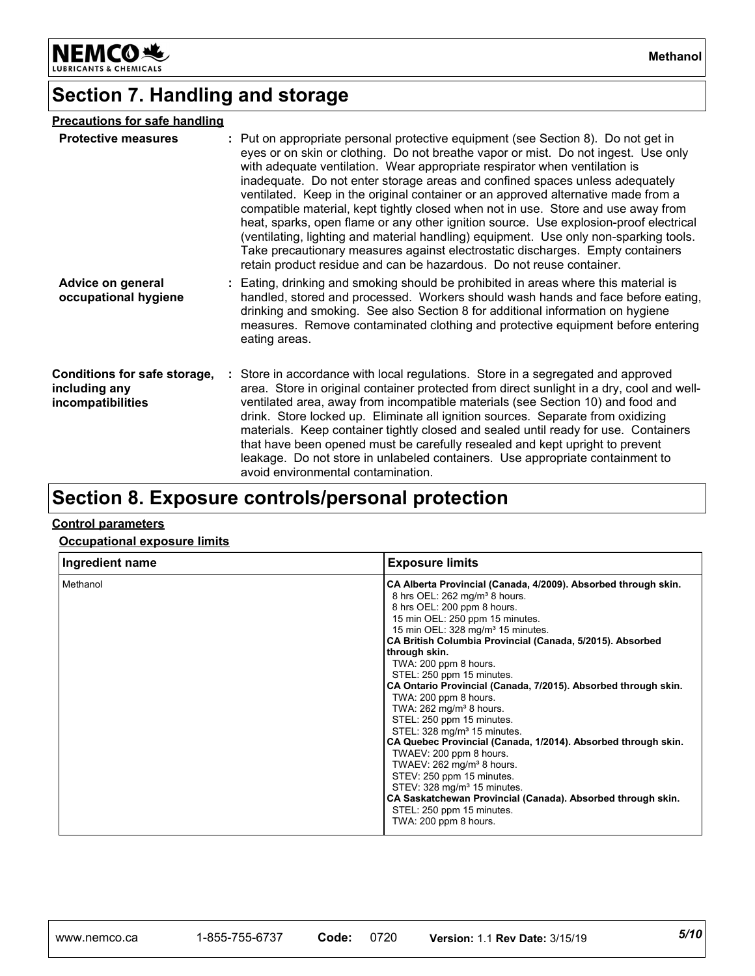

### **Section 7. Handling and storage**

### **Precautions for safe handling**

| <b>Protective measures</b>                                         | : Put on appropriate personal protective equipment (see Section 8). Do not get in<br>eyes or on skin or clothing. Do not breathe vapor or mist. Do not ingest. Use only<br>with adequate ventilation. Wear appropriate respirator when ventilation is<br>inadequate. Do not enter storage areas and confined spaces unless adequately<br>ventilated. Keep in the original container or an approved alternative made from a<br>compatible material, kept tightly closed when not in use. Store and use away from<br>heat, sparks, open flame or any other ignition source. Use explosion-proof electrical<br>(ventilating, lighting and material handling) equipment. Use only non-sparking tools.<br>Take precautionary measures against electrostatic discharges. Empty containers<br>retain product residue and can be hazardous. Do not reuse container. |
|--------------------------------------------------------------------|-------------------------------------------------------------------------------------------------------------------------------------------------------------------------------------------------------------------------------------------------------------------------------------------------------------------------------------------------------------------------------------------------------------------------------------------------------------------------------------------------------------------------------------------------------------------------------------------------------------------------------------------------------------------------------------------------------------------------------------------------------------------------------------------------------------------------------------------------------------|
| Advice on general<br>occupational hygiene                          | : Eating, drinking and smoking should be prohibited in areas where this material is<br>handled, stored and processed. Workers should wash hands and face before eating,<br>drinking and smoking. See also Section 8 for additional information on hygiene<br>measures. Remove contaminated clothing and protective equipment before entering<br>eating areas.                                                                                                                                                                                                                                                                                                                                                                                                                                                                                               |
| Conditions for safe storage,<br>including any<br>incompatibilities | : Store in accordance with local regulations. Store in a segregated and approved<br>area. Store in original container protected from direct sunlight in a dry, cool and well-<br>ventilated area, away from incompatible materials (see Section 10) and food and<br>drink. Store locked up. Eliminate all ignition sources. Separate from oxidizing<br>materials. Keep container tightly closed and sealed until ready for use. Containers<br>that have been opened must be carefully resealed and kept upright to prevent<br>leakage. Do not store in unlabeled containers. Use appropriate containment to<br>avoid environmental contamination.                                                                                                                                                                                                           |

### **Section 8. Exposure controls/personal protection**

### **Control parameters**

**Occupational exposure limits**

| Ingredient name | <b>Exposure limits</b>                                                                                                                                                                                                                                                                                                                                                                                                                                                                                                                                                                                                                                                                                                                                                                                                                                                                                           |
|-----------------|------------------------------------------------------------------------------------------------------------------------------------------------------------------------------------------------------------------------------------------------------------------------------------------------------------------------------------------------------------------------------------------------------------------------------------------------------------------------------------------------------------------------------------------------------------------------------------------------------------------------------------------------------------------------------------------------------------------------------------------------------------------------------------------------------------------------------------------------------------------------------------------------------------------|
| Methanol        | CA Alberta Provincial (Canada, 4/2009). Absorbed through skin.<br>8 hrs OEL: 262 mg/m <sup>3</sup> 8 hours.<br>8 hrs OEL: 200 ppm 8 hours.<br>15 min OEL: 250 ppm 15 minutes.<br>15 min OEL: 328 mg/m <sup>3</sup> 15 minutes.<br>CA British Columbia Provincial (Canada, 5/2015). Absorbed<br>through skin.<br>TWA: 200 ppm 8 hours.<br>STEL: 250 ppm 15 minutes.<br>CA Ontario Provincial (Canada, 7/2015). Absorbed through skin.<br>TWA: 200 ppm 8 hours.<br>TWA: $262$ mg/m <sup>3</sup> 8 hours.<br>STEL: 250 ppm 15 minutes.<br>STEL: 328 mg/m <sup>3</sup> 15 minutes.<br>CA Quebec Provincial (Canada, 1/2014). Absorbed through skin.<br>TWAEV: 200 ppm 8 hours.<br>TWAEV: 262 mg/m <sup>3</sup> 8 hours.<br>STEV: 250 ppm 15 minutes.<br>STEV: 328 mg/m <sup>3</sup> 15 minutes.<br>CA Saskatchewan Provincial (Canada). Absorbed through skin.<br>STEL: 250 ppm 15 minutes.<br>TWA: 200 ppm 8 hours. |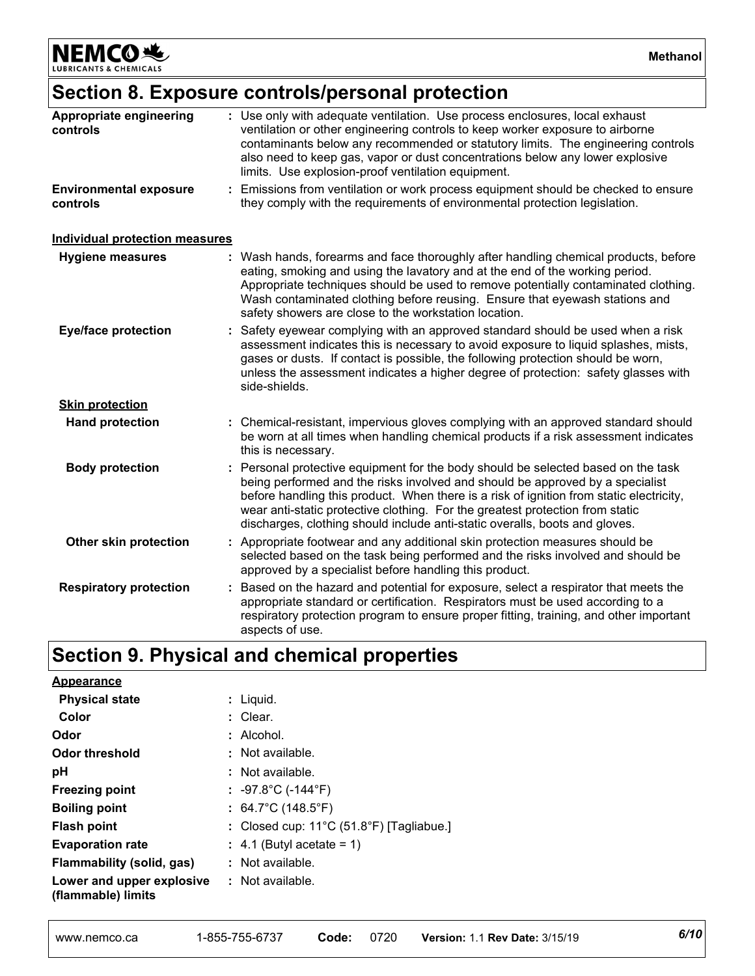NEMCO<sup>N</sup>

**Methanol**

### **Section 8. Exposure controls/personal protection**

| Appropriate engineering<br>controls       | : Use only with adequate ventilation. Use process enclosures, local exhaust<br>ventilation or other engineering controls to keep worker exposure to airborne<br>contaminants below any recommended or statutory limits. The engineering controls<br>also need to keep gas, vapor or dust concentrations below any lower explosive<br>limits. Use explosion-proof ventilation equipment.                                     |  |
|-------------------------------------------|-----------------------------------------------------------------------------------------------------------------------------------------------------------------------------------------------------------------------------------------------------------------------------------------------------------------------------------------------------------------------------------------------------------------------------|--|
| <b>Environmental exposure</b><br>controls | Emissions from ventilation or work process equipment should be checked to ensure<br>they comply with the requirements of environmental protection legislation.                                                                                                                                                                                                                                                              |  |
| <b>Individual protection measures</b>     |                                                                                                                                                                                                                                                                                                                                                                                                                             |  |
| <b>Hygiene measures</b>                   | Wash hands, forearms and face thoroughly after handling chemical products, before<br>eating, smoking and using the lavatory and at the end of the working period.<br>Appropriate techniques should be used to remove potentially contaminated clothing.<br>Wash contaminated clothing before reusing. Ensure that eyewash stations and<br>safety showers are close to the workstation location.                             |  |
| <b>Eye/face protection</b>                | Safety eyewear complying with an approved standard should be used when a risk<br>assessment indicates this is necessary to avoid exposure to liquid splashes, mists,<br>gases or dusts. If contact is possible, the following protection should be worn,<br>unless the assessment indicates a higher degree of protection: safety glasses with<br>side-shields.                                                             |  |
| <b>Skin protection</b>                    |                                                                                                                                                                                                                                                                                                                                                                                                                             |  |
| <b>Hand protection</b>                    | : Chemical-resistant, impervious gloves complying with an approved standard should<br>be worn at all times when handling chemical products if a risk assessment indicates<br>this is necessary.                                                                                                                                                                                                                             |  |
| <b>Body protection</b>                    | Personal protective equipment for the body should be selected based on the task<br>being performed and the risks involved and should be approved by a specialist<br>before handling this product. When there is a risk of ignition from static electricity,<br>wear anti-static protective clothing. For the greatest protection from static<br>discharges, clothing should include anti-static overalls, boots and gloves. |  |
| Other skin protection                     | : Appropriate footwear and any additional skin protection measures should be<br>selected based on the task being performed and the risks involved and should be<br>approved by a specialist before handling this product.                                                                                                                                                                                                   |  |
| <b>Respiratory protection</b>             | Based on the hazard and potential for exposure, select a respirator that meets the<br>appropriate standard or certification. Respirators must be used according to a<br>respiratory protection program to ensure proper fitting, training, and other important<br>aspects of use.                                                                                                                                           |  |

| <b>Appearance</b>                               |                                                    |
|-------------------------------------------------|----------------------------------------------------|
| <b>Physical state</b>                           | : Liquid.                                          |
| Color                                           | : Clear.                                           |
| Odor                                            | $:$ Alcohol.                                       |
| <b>Odor threshold</b>                           | : Not available.                                   |
| рH                                              | $:$ Not available.                                 |
| <b>Freezing point</b>                           | : -97.8°C (-144°F)                                 |
| <b>Boiling point</b>                            | : $64.7^{\circ}$ C (148.5 $^{\circ}$ F)            |
| <b>Flash point</b>                              | : Closed cup: $11^{\circ}$ C (51.8°F) [Tagliabue.] |
| <b>Evaporation rate</b>                         | $\div$ 4.1 (Butyl acetate = 1)                     |
| Flammability (solid, gas)                       | $\therefore$ Not available.                        |
| Lower and upper explosive<br>(flammable) limits | $\therefore$ Not available.                        |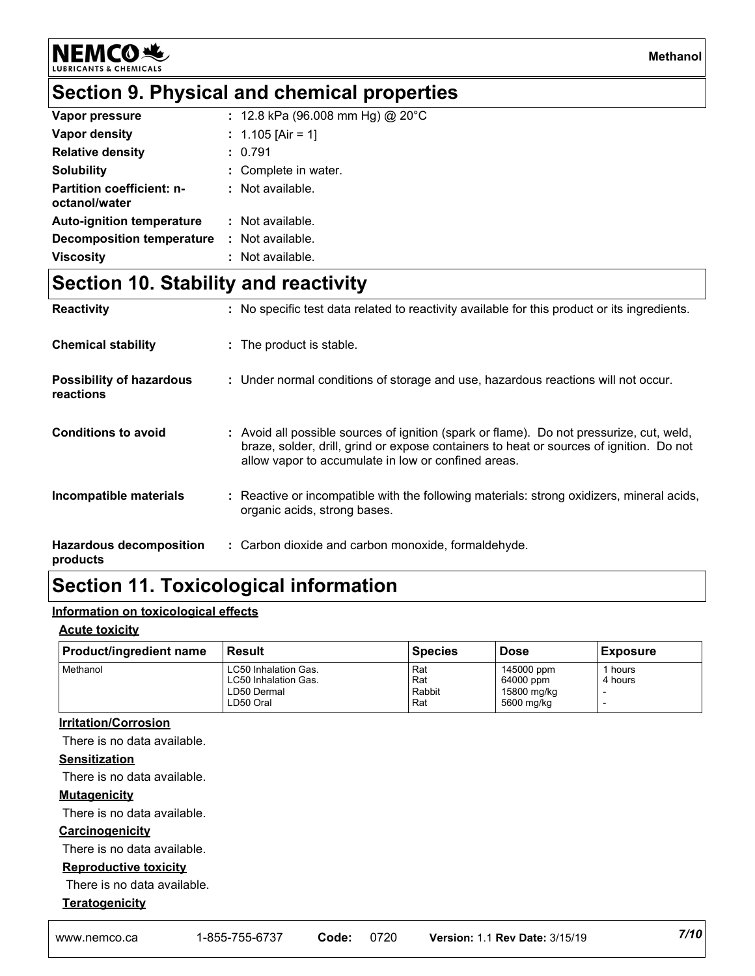**NEMCO头** 

### **Section 9. Physical and chemical properties**

| Vapor pressure                                    | : 12.8 kPa (96.008 mm Hg) @ 20°C |
|---------------------------------------------------|----------------------------------|
| Vapor density                                     | : 1.105 [Air = 1]                |
| <b>Relative density</b>                           | : 0.791                          |
| <b>Solubility</b>                                 | : Complete in water.             |
| <b>Partition coefficient: n-</b><br>octanol/water | : Not available.                 |
| <b>Auto-ignition temperature</b>                  | : Not available.                 |
| Decomposition temperature                         | : Not available.                 |
| <b>Viscosity</b>                                  | : Not available.                 |

### **Section 10. Stability and reactivity**

| <b>Reactivity</b>                            | : No specific test data related to reactivity available for this product or its ingredients.                                                                                                                                               |
|----------------------------------------------|--------------------------------------------------------------------------------------------------------------------------------------------------------------------------------------------------------------------------------------------|
| <b>Chemical stability</b>                    | : The product is stable.                                                                                                                                                                                                                   |
| <b>Possibility of hazardous</b><br>reactions | : Under normal conditions of storage and use, hazardous reactions will not occur.                                                                                                                                                          |
| <b>Conditions to avoid</b>                   | : Avoid all possible sources of ignition (spark or flame). Do not pressurize, cut, weld,<br>braze, solder, drill, grind or expose containers to heat or sources of ignition. Do not<br>allow vapor to accumulate in low or confined areas. |
| Incompatible materials                       | : Reactive or incompatible with the following materials: strong oxidizers, mineral acids,<br>organic acids, strong bases.                                                                                                                  |
| <b>Hazardous decomposition</b><br>products   | : Carbon dioxide and carbon monoxide, formaldehyde.                                                                                                                                                                                        |

### **Section 11. Toxicological information**

### **Information on toxicological effects**

#### **Acute toxicity**

| <b>Product/ingredient name</b> | Result                      | <b>Species</b> | <b>Dose</b> | <b>Exposure</b> |
|--------------------------------|-----------------------------|----------------|-------------|-----------------|
| Methanol                       | <b>LC50 Inhalation Gas.</b> | Rat            | 145000 ppm  | hours           |
|                                | <b>LC50 Inhalation Gas.</b> | Rat            | 64000 ppm   | 4 hours         |
|                                | LD50 Dermal                 | Rabbit         | 15800 mg/kg |                 |
|                                | LD50 Oral                   | Rat            | 5600 mg/kg  |                 |

#### **Irritation/Corrosion**

There is no data available.

#### **Sensitization**

There is no data available.

#### **Mutagenicity**

There is no data available.

#### **Carcinogenicity**

There is no data available.

#### **Reproductive toxicity**

There is no data available.

#### **Teratogenicity**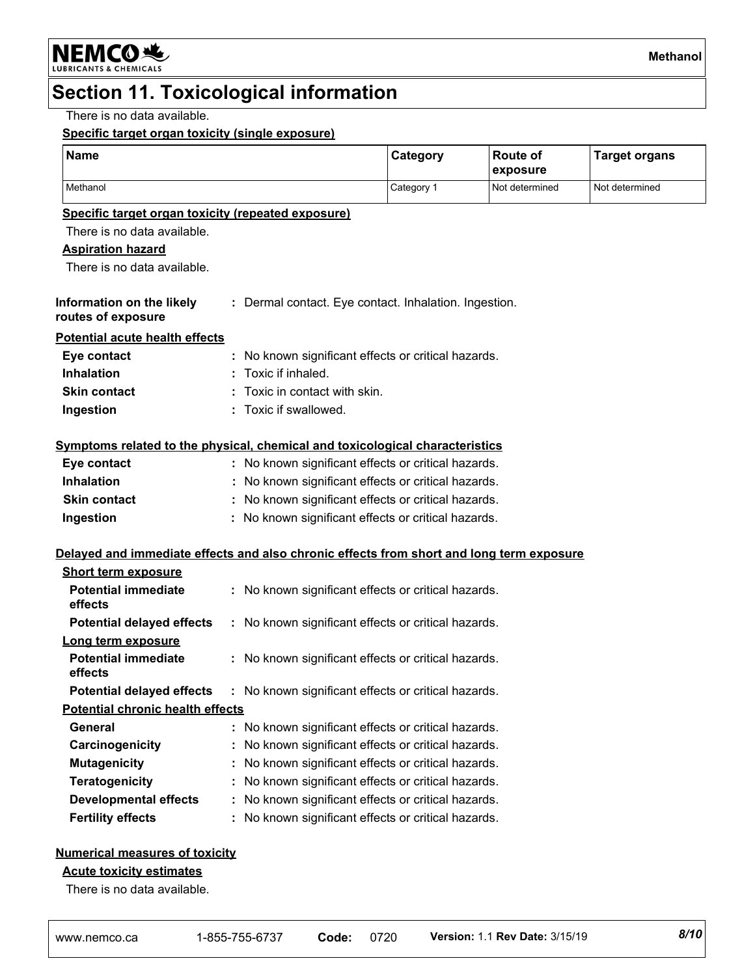### **Section 11. Toxicological information**

There is no data available.

#### **Specific target organ toxicity (single exposure)**

| <b>Name</b>                                                                              |  |                                                       | Category   | <b>Route of</b><br>exposure | <b>Target organs</b> |
|------------------------------------------------------------------------------------------|--|-------------------------------------------------------|------------|-----------------------------|----------------------|
| Methanol                                                                                 |  |                                                       | Category 1 | Not determined              | Not determined       |
| Specific target organ toxicity (repeated exposure)                                       |  |                                                       |            |                             |                      |
| There is no data available.                                                              |  |                                                       |            |                             |                      |
| <b>Aspiration hazard</b>                                                                 |  |                                                       |            |                             |                      |
| There is no data available.                                                              |  |                                                       |            |                             |                      |
| Information on the likely<br>routes of exposure                                          |  | : Dermal contact. Eye contact. Inhalation. Ingestion. |            |                             |                      |
| <b>Potential acute health effects</b>                                                    |  |                                                       |            |                             |                      |
| Eye contact                                                                              |  | No known significant effects or critical hazards.     |            |                             |                      |
| <b>Inhalation</b>                                                                        |  | Toxic if inhaled.                                     |            |                             |                      |
| <b>Skin contact</b>                                                                      |  | Toxic in contact with skin.                           |            |                             |                      |
| Ingestion                                                                                |  | : Toxic if swallowed.                                 |            |                             |                      |
| Symptoms related to the physical, chemical and toxicological characteristics             |  |                                                       |            |                             |                      |
| Eye contact                                                                              |  | : No known significant effects or critical hazards.   |            |                             |                      |
| <b>Inhalation</b>                                                                        |  | No known significant effects or critical hazards.     |            |                             |                      |
| <b>Skin contact</b>                                                                      |  | No known significant effects or critical hazards.     |            |                             |                      |
| Ingestion                                                                                |  | : No known significant effects or critical hazards.   |            |                             |                      |
| Delayed and immediate effects and also chronic effects from short and long term exposure |  |                                                       |            |                             |                      |
| <b>Short term exposure</b>                                                               |  |                                                       |            |                             |                      |
| <b>Potential immediate</b><br>effects                                                    |  | : No known significant effects or critical hazards.   |            |                             |                      |
| <b>Potential delayed effects</b>                                                         |  | : No known significant effects or critical hazards.   |            |                             |                      |
| Long term exposure                                                                       |  |                                                       |            |                             |                      |
| <b>Potential immediate</b><br>effects                                                    |  | : No known significant effects or critical hazards.   |            |                             |                      |
| <b>Potential delayed effects : No known significant effects or critical hazards.</b>     |  |                                                       |            |                             |                      |
| <b>Potential chronic health effects</b>                                                  |  |                                                       |            |                             |                      |
| General                                                                                  |  | : No known significant effects or critical hazards.   |            |                             |                      |
| Carcinogenicity                                                                          |  | No known significant effects or critical hazards.     |            |                             |                      |
| <b>Mutagenicity</b>                                                                      |  | No known significant effects or critical hazards.     |            |                             |                      |
| <b>Teratogenicity</b>                                                                    |  | No known significant effects or critical hazards.     |            |                             |                      |
| <b>Developmental effects</b>                                                             |  | No known significant effects or critical hazards.     |            |                             |                      |
| <b>Fertility effects</b>                                                                 |  | No known significant effects or critical hazards.     |            |                             |                      |

#### **Numerical measures of toxicity**

#### **Acute toxicity estimates**

There is no data available.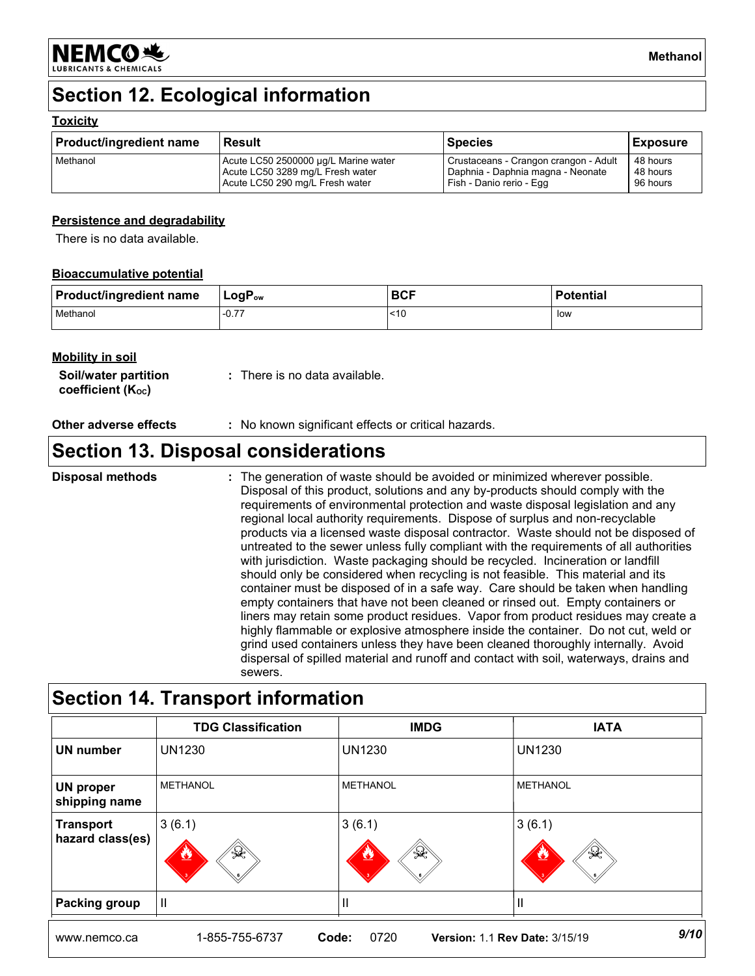

### **Section 12. Ecological information**

#### **Toxicity**

| <b>Product/ingredient name</b> | Result                               | <b>Species</b>                        | <b>Exposure</b> |
|--------------------------------|--------------------------------------|---------------------------------------|-----------------|
| Methanol                       | Acute LC50 2500000 µg/L Marine water | Crustaceans - Crangon crangon - Adult | 48 hours        |
|                                | Acute LC50 3289 mg/L Fresh water     | Daphnia - Daphnia magna - Neonate     | 48 hours        |
|                                | Acute LC50 290 mg/L Fresh water      | Fish - Danio rerio - Egg              | 96 hours        |

#### **Persistence and degradability**

There is no data available.

#### **Bioaccumulative potential**

| <b>Product/ingredient name</b> | $ $ LogP <sub>ow</sub> | <b>BCF</b> | <b>Potential</b> |
|--------------------------------|------------------------|------------|------------------|
| Methanol                       | 7<br>$-U_{\rm t}$      | ~10        | low              |

#### **Mobility in soil**

| Soil/water partition           | : There is no data available. |
|--------------------------------|-------------------------------|
| coefficient (K <sub>oc</sub> ) |                               |

#### **Other adverse effects** : No known significant effects or critical hazards.

### **Section 13. Disposal considerations**

The generation of waste should be avoided or minimized wherever possible. Disposal of this product, solutions and any by-products should comply with the requirements of environmental protection and waste disposal legislation and any regional local authority requirements. Dispose of surplus and non-recyclable products via a licensed waste disposal contractor. Waste should not be disposed of untreated to the sewer unless fully compliant with the requirements of all authorities with jurisdiction. Waste packaging should be recycled. Incineration or landfill should only be considered when recycling is not feasible. This material and its container must be disposed of in a safe way. Care should be taken when handling empty containers that have not been cleaned or rinsed out. Empty containers or liners may retain some product residues. Vapor from product residues may create a highly flammable or explosive atmosphere inside the container. Do not cut, weld or grind used containers unless they have been cleaned thoroughly internally. Avoid dispersal of spilled material and runoff and contact with soil, waterways, drains and sewers. **Disposal methods :**

### **Section 14. Transport information**

|                               | <b>TDG Classification</b>   | <b>IMDG</b>                                   | <b>IATA</b>                  |
|-------------------------------|-----------------------------|-----------------------------------------------|------------------------------|
| UN number                     | <b>UN1230</b>               | <b>UN1230</b>                                 | <b>UN1230</b>                |
| UN proper<br>shipping name    | <b>METHANOL</b>             | <b>METHANOL</b>                               | <b>METHANOL</b>              |
| Transport<br>hazard class(es) | 3(6.1)<br>₩<br>$\mathbf{v}$ | 3(6.1)<br>$\mathbb{Q}$<br><u>V2</u>           | 3(6.1)<br>$\gg$<br><u>v,</u> |
| <b>Packing group</b>          | IШ                          |                                               | Ш                            |
| www.nemco.ca                  | 1-855-755-6737<br>Code:     | <b>Version: 1.1 Rev Date: 3/15/19</b><br>0720 | 9/10                         |